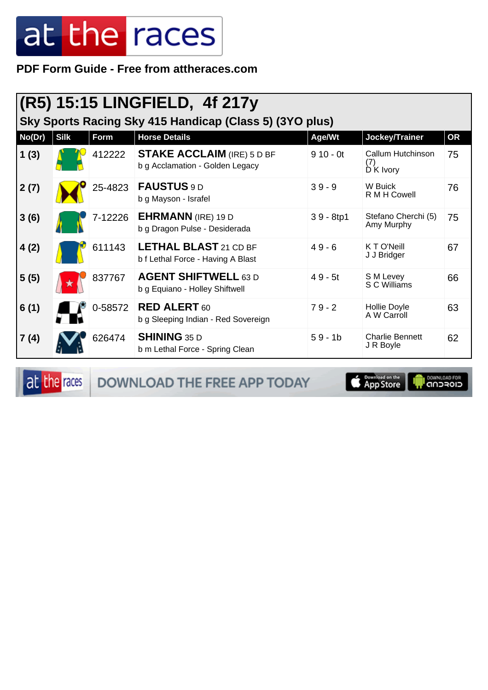**PDF Form Guide - Free from attheraces.com**

| $ (R5)$ 15:15 LINGFIELD, 4f 217y<br>Sky Sports Racing Sky 415 Handicap (Class 5) (3YO plus) |             |         |                                                                      |             |                                       |           |  |
|---------------------------------------------------------------------------------------------|-------------|---------|----------------------------------------------------------------------|-------------|---------------------------------------|-----------|--|
| No(Dr)                                                                                      | <b>Silk</b> | Form    | <b>Horse Details</b>                                                 | Age/Wt      | Jockey/Trainer                        | <b>OR</b> |  |
| 1(3)                                                                                        |             | 412222  | <b>STAKE ACCLAIM (IRE) 5 D BF</b><br>b g Acclamation - Golden Legacy | $910 - 0t$  | Callum Hutchinson<br>(7)<br>D K Ivory | 75        |  |
| 2(7)                                                                                        |             | 25-4823 | FAUSTUS 9 D<br>b g Mayson - Israfel                                  | $39 - 9$    | W Buick<br>R M H Cowell               | 76        |  |
| 3(6)                                                                                        |             | 7-12226 | <b>EHRMANN</b> (IRE) 19 D<br>b g Dragon Pulse - Desiderada           | $39 - 8tp1$ | Stefano Cherchi (5)<br>Amy Murphy     | 75        |  |
| 4(2)                                                                                        |             | 611143  | <b>LETHAL BLAST 21 CD BF</b><br>b f Lethal Force - Having A Blast    | $49 - 6$    | K T O'Neill<br>J J Bridger            | 67        |  |
| 5(5)                                                                                        |             | 837767  | <b>AGENT SHIFTWELL 63 D</b><br>b g Equiano - Holley Shiftwell        | $49 - 5t$   | S M Levey<br>S C Williams             | 66        |  |
| 6(1)                                                                                        |             | 0-58572 | <b>RED ALERT 60</b><br>b g Sleeping Indian - Red Sovereign           | $79 - 2$    | Hollie Doyle<br>A W Carroll           | 63        |  |
| 7(4)                                                                                        |             | 626474  | <b>SHINING 35 D</b><br>b m Lethal Force - Spring Clean               | $59 - 1b$   | <b>Charlie Bennett</b><br>J R Boyle   | 62        |  |

at the races

DOWNLOAD THE FREE APP TODAY

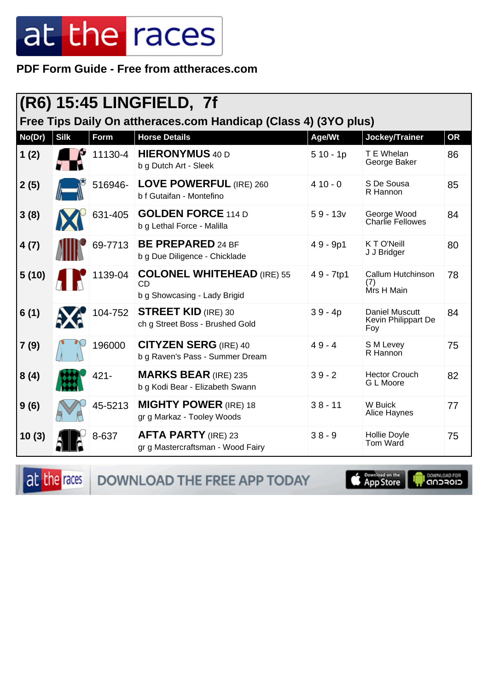PDF Form Guide - Free from attheraces.com

| $ {\sf (R6)}$ 15:45 LINGFIELD, 7f                               |             |         |                                                                                |            |                                                     |           |  |
|-----------------------------------------------------------------|-------------|---------|--------------------------------------------------------------------------------|------------|-----------------------------------------------------|-----------|--|
| Free Tips Daily On attheraces.com Handicap (Class 4) (3YO plus) |             |         |                                                                                |            |                                                     |           |  |
| No(Dr)                                                          | <b>Silk</b> | Form    | <b>Horse Details</b>                                                           | Age/Wt     | Jockey/Trainer                                      | <b>OR</b> |  |
| 1(2)                                                            |             | 11130-4 | <b>HIERONYMUS</b> 40 D<br>b g Dutch Art - Sleek                                | $510 - 1p$ | T E Whelan<br>George Baker                          | 86        |  |
| 2(5)                                                            |             | 516946- | <b>LOVE POWERFUL (IRE) 260</b><br>b f Gutaifan - Montefino                     | $410 - 0$  | S De Sousa<br>R Hannon                              | 85        |  |
| 3(8)                                                            |             | 631-405 | <b>GOLDEN FORCE 114 D</b><br>b g Lethal Force - Malilla                        | $59 - 13v$ | George Wood<br><b>Charlie Fellowes</b>              | 84        |  |
| 4(7)                                                            |             | 69-7713 | <b>BE PREPARED 24 BF</b><br>b g Due Diligence - Chicklade                      | $49 - 9p1$ | K T O'Neill<br>J J Bridger                          | 80        |  |
| 5(10)                                                           |             | 1139-04 | <b>COLONEL WHITEHEAD (IRE) 55</b><br><b>CD</b><br>b g Showcasing - Lady Brigid | 49 - 7tp1  | Callum Hutchinson<br>(7)<br>Mrs H Main              | 78        |  |
| 6(1)                                                            |             | 104-752 | <b>STREET KID (IRE) 30</b><br>ch g Street Boss - Brushed Gold                  | $39 - 4p$  | <b>Daniel Muscutt</b><br>Kevin Philippart De<br>Foy | 84        |  |
| 7(9)                                                            |             | 196000  | <b>CITYZEN SERG (IRE) 40</b><br>b g Raven's Pass - Summer Dream                | $49 - 4$   | S M Levey<br>R Hannon                               | 75        |  |
| 8(4)                                                            |             | $421 -$ | <b>MARKS BEAR (IRE) 235</b><br>b g Kodi Bear - Elizabeth Swann                 | $39 - 2$   | <b>Hector Crouch</b><br>G L Moore                   | 82        |  |
| 9(6)                                                            |             | 45-5213 | <b>MIGHTY POWER</b> (IRE) 18<br>gr g Markaz - Tooley Woods                     | $38 - 11$  | W Buick<br>Alice Haynes                             | 77        |  |
| 10(3)                                                           |             | 8-637   | <b>AFTA PARTY (IRE) 23</b><br>gr g Mastercraftsman - Wood Fairy                | $38 - 9$   | Hollie Doyle<br>Tom Ward                            | 75        |  |

at the races

DOWNLOAD THE FREE APP TODAY

App Store

DOWNLOAD FOR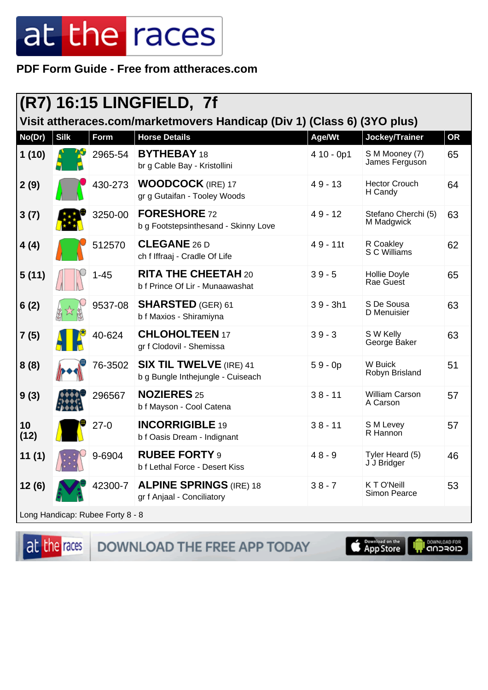PDF Form Guide - Free from attheraces.com

| $\vert$ (R7) 16:15 LINGFIELD, 7f                                        |             |          |                                                                     |             |                                   |           |
|-------------------------------------------------------------------------|-------------|----------|---------------------------------------------------------------------|-------------|-----------------------------------|-----------|
| Visit attheraces.com/marketmovers Handicap (Div 1) (Class 6) (3YO plus) |             |          |                                                                     |             |                                   |           |
| No(Dr)                                                                  | <b>Silk</b> | Form     | <b>Horse Details</b>                                                | Age/Wt      | Jockey/Trainer                    | <b>OR</b> |
| 1(10)                                                                   |             | 2965-54  | <b>BYTHEBAY 18</b><br>br g Cable Bay - Kristollini                  | $410 - 0p1$ | S M Mooney (7)<br>James Ferguson  | 65        |
| 2(9)                                                                    |             | 430-273  | <b>WOODCOCK</b> (IRE) 17<br>gr g Gutaifan - Tooley Woods            | $49 - 13$   | <b>Hector Crouch</b><br>H Candy   | 64        |
| 3(7)                                                                    |             | 3250-00  | <b>FORESHORE 72</b><br>b g Footstepsinthesand - Skinny Love         | $49 - 12$   | Stefano Cherchi (5)<br>M Madgwick | 63        |
| 4(4)                                                                    |             | 512570   | <b>CLEGANE 26 D</b><br>ch f Iffraaj - Cradle Of Life                | $49 - 11t$  | R Coakley<br>S C Williams         | 62        |
| 5(11)                                                                   |             | $1 - 45$ | <b>RITA THE CHEETAH 20</b><br>b f Prince Of Lir - Munaawashat       | $39 - 5$    | Hollie Doyle<br>Rae Guest         | 65        |
| 6(2)                                                                    |             | 9537-08  | <b>SHARSTED</b> (GER) 61<br>b f Maxios - Shiramiyna                 | $39 - 3h1$  | S De Sousa<br>D Menuisier         | 63        |
| 7(5)                                                                    |             | 40-624   | <b>CHLOHOLTEEN 17</b><br>gr f Clodovil - Shemissa                   | $39 - 3$    | S W Kelly<br>George Baker         | 63        |
| 8(8)                                                                    |             | 76-3502  | <b>SIX TIL TWELVE (IRE) 41</b><br>b g Bungle Inthejungle - Cuiseach | $59 - 0p$   | W Buick<br>Robyn Brisland         | 51        |
| 9(3)                                                                    |             | 296567   | <b>NOZIERES 25</b><br>b f Mayson - Cool Catena                      | $38 - 11$   | William Carson<br>A Carson        | 57        |
| 10<br>(12)                                                              |             | $27-0$   | <b>INCORRIGIBLE 19</b><br>b f Oasis Dream - Indignant               | $38 - 11$   | S M Levey<br>R Hannon             | 57        |
| 11 (1)                                                                  |             | 9-6904   | <b>RUBEE FORTY 9</b><br>b f Lethal Force - Desert Kiss              | $48 - 9$    | Tyler Heard (5)<br>J J Bridger    | 46        |
| 12(6)                                                                   |             | 42300-7  | <b>ALPINE SPRINGS (IRE) 18</b><br>gr f Anjaal - Conciliatory        | $38 - 7$    | KTO'Neill<br><b>Simon Pearce</b>  | 53        |
| Long Handicap: Rubee Forty 8 - 8                                        |             |          |                                                                     |             |                                   |           |

at the races DOWNLOAD THE FREE APP TODAY

**S** Download on the

**I DOWNLOAD FOR**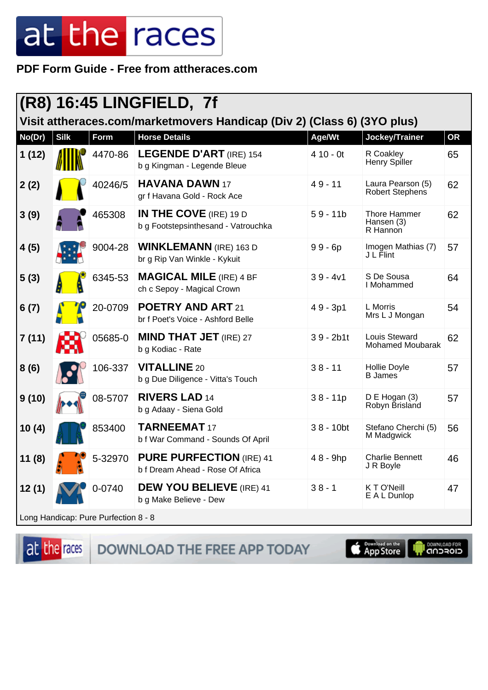PDF Form Guide - Free from attheraces.com

| (R8) 16:45 LINGFIELD, 7f                                                |             |             |                                                                      |              |                                          |           |  |
|-------------------------------------------------------------------------|-------------|-------------|----------------------------------------------------------------------|--------------|------------------------------------------|-----------|--|
| Visit attheraces.com/marketmovers Handicap (Div 2) (Class 6) (3YO plus) |             |             |                                                                      |              |                                          |           |  |
| No(Dr)                                                                  | <b>Silk</b> | <b>Form</b> | <b>Horse Details</b>                                                 | Age/Wt       | Jockey/Trainer                           | <b>OR</b> |  |
| 1(12)                                                                   |             | 4470-86     | <b>LEGENDE D'ART</b> (IRE) 154<br>b g Kingman - Legende Bleue        | $410 - 0t$   | R Coakley<br>Henry Spiller               | 65        |  |
| 2(2)                                                                    |             | 40246/5     | <b>HAVANA DAWN 17</b><br>gr f Havana Gold - Rock Ace                 | $49 - 11$    | Laura Pearson (5)<br>Robert Stephens     | 62        |  |
| 3(9)                                                                    |             | 465308      | <b>IN THE COVE</b> (IRE) 19 D<br>b g Footstepsinthesand - Vatrouchka | $59 - 11b$   | Thore Hammer<br>Hansen (3)<br>R Hannon   | 62        |  |
| 4(5)                                                                    |             | 9004-28     | <b>WINKLEMANN</b> (IRE) 163 D<br>br g Rip Van Winkle - Kykuit        | $99 - 6p$    | Imogen Mathias (7)<br>J L Flint          | 57        |  |
| 5(3)                                                                    |             | 6345-53     | <b>MAGICAL MILE (IRE) 4 BF</b><br>ch c Sepoy - Magical Crown         | $39 - 4v1$   | S De Sousa<br>I Mohammed                 | 64        |  |
| 6(7)                                                                    |             | 20-0709     | <b>POETRY AND ART 21</b><br>br f Poet's Voice - Ashford Belle        | $49 - 3p1$   | L Morris<br>Mrs L J Mongan               | 54        |  |
| 7(11)                                                                   |             | 05685-0     | <b>MIND THAT JET</b> (IRE) 27<br>b g Kodiac - Rate                   | $39 - 2b1t$  | Louis Steward<br><b>Mohamed Moubarak</b> | 62        |  |
| 8(6)                                                                    |             | 106-337     | <b>VITALLINE 20</b><br>b g Due Diligence - Vitta's Touch             | $38 - 11$    | Hollie Doyle<br><b>B</b> James           | 57        |  |
| 9(10)                                                                   |             | 08-5707     | <b>RIVERS LAD 14</b><br>b g Adaay - Siena Gold                       | $38 - 11p$   | $D \to Hogan(3)$<br>Robyn Brisland       | 57        |  |
| 10(4)                                                                   |             | 853400      | <b>TARNEEMAT 17</b><br>b f War Command - Sounds Of April             | $38 - 10$ bt | Stefano Cherchi (5)<br>M Madgwick        | 56        |  |
| 11(8)                                                                   |             | 5-32970     | <b>PURE PURFECTION (IRE) 41</b><br>b f Dream Ahead - Rose Of Africa  | 48 - 9hp     | <b>Charlie Bennett</b><br>J R Boyle      | 46        |  |
| 12(1)                                                                   |             | 0-0740      | <b>DEW YOU BELIEVE</b> (IRE) 41<br>b g Make Believe - Dew            | $38 - 1$     | K T O'Neill<br>E A L Dunlop              | 47        |  |
| Long Handicap: Pure Purfection 8 - 8                                    |             |             |                                                                      |              |                                          |           |  |

at the races

DOWNLOAD THE FREE APP TODAY

App Store

DOWNLOAD FOR